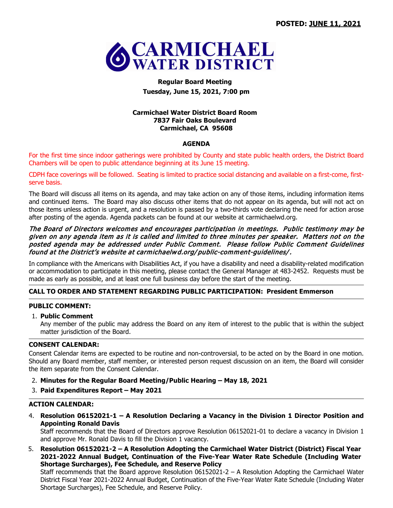

# **Regular Board Meeting Tuesday, June 15, 2021, 7:00 pm**

## **Carmichael Water District Board Room 7837 Fair Oaks Boulevard Carmichael, CA 95608**

#### **AGENDA**

For the first time since indoor gatherings were prohibited by County and state public health orders, the District Board Chambers will be open to public attendance beginning at its June 15 meeting.

CDPH face coverings will be followed. Seating is limited to practice social distancing and available on a first-come, firstserve basis.

The Board will discuss all items on its agenda, and may take action on any of those items, including information items and continued items. The Board may also discuss other items that do not appear on its agenda, but will not act on those items unless action is urgent, and a resolution is passed by a two-thirds vote declaring the need for action arose after posting of the agenda. Agenda packets can be found at our website at carmichaelwd.org.

#### The Board of Directors welcomes and encourages participation in meetings. Public testimony may be given on any agenda item as it is called and limited to three minutes per speaker. Matters not on the posted agenda may be addressed under Public Comment. Please follow Public Comment Guidelines found at the District's website at carmichaelwd.org/ public-comment-guidelines/.

In compliance with the Americans with Disabilities Act, if you have a disability and need a disability-related modification or accommodation to participate in this meeting, please contact the General Manager at 483-2452. Requests must be made as early as possible, and at least one full business day before the start of the meeting.

## **CALL TO ORDER AND STATEMENT REGARDING PUBLIC PARTICIPATION: President Emmerson**

## **PUBLIC COMMENT:**

## 1. **Public Comment**

Any member of the public may address the Board on any item of interest to the public that is within the subject matter jurisdiction of the Board.

## **CONSENT CALENDAR:**

Consent Calendar items are expected to be routine and non-controversial, to be acted on by the Board in one motion. Should any Board member, staff member, or interested person request discussion on an item, the Board will consider the item separate from the Consent Calendar.

- 2. **Minutes for the Regular Board Meeting/Public Hearing – May 18, 2021**
- 3. **Paid Expenditures Report – May 2021**

## **ACTION CALENDAR:**

4. **Resolution 06152021-1 – A Resolution Declaring a Vacancy in the Division 1 Director Position and Appointing Ronald Davis**

Staff recommends that the Board of Directors approve Resolution 06152021-01 to declare a vacancy in Division 1 and approve Mr. Ronald Davis to fill the Division 1 vacancy.

5. **Resolution 06152021-2 – A Resolution Adopting the Carmichael Water District (District) Fiscal Year 2021-2022 Annual Budget, Continuation of the Five-Year Water Rate Schedule (Including Water Shortage Surcharges), Fee Schedule, and Reserve Policy**

Staff recommends that the Board approve Resolution 06152021-2 – A Resolution Adopting the Carmichael Water District Fiscal Year 2021-2022 Annual Budget, Continuation of the Five-Year Water Rate Schedule (Including Water Shortage Surcharges), Fee Schedule, and Reserve Policy.